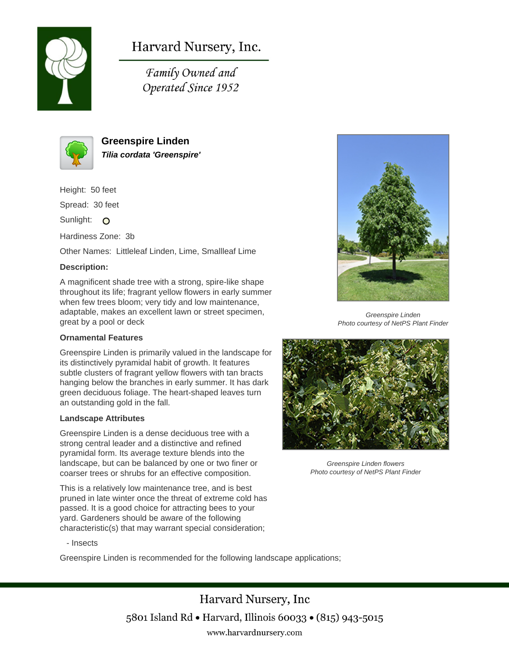

# Harvard Nursery, Inc.

Family Owned and Operated Since 1952



**Greenspire Linden Tilia cordata 'Greenspire'**

Height: 50 feet

Spread: 30 feet

Sunlight: O

Hardiness Zone: 3b

Other Names: Littleleaf Linden, Lime, Smallleaf Lime

# **Description:**

A magnificent shade tree with a strong, spire-like shape throughout its life; fragrant yellow flowers in early summer when few trees bloom; very tidy and low maintenance, adaptable, makes an excellent lawn or street specimen, great by a pool or deck

### **Ornamental Features**

Greenspire Linden is primarily valued in the landscape for its distinctively pyramidal habit of growth. It features subtle clusters of fragrant yellow flowers with tan bracts hanging below the branches in early summer. It has dark green deciduous foliage. The heart-shaped leaves turn an outstanding gold in the fall.

#### **Landscape Attributes**

Greenspire Linden is a dense deciduous tree with a strong central leader and a distinctive and refined pyramidal form. Its average texture blends into the landscape, but can be balanced by one or two finer or coarser trees or shrubs for an effective composition.

This is a relatively low maintenance tree, and is best pruned in late winter once the threat of extreme cold has passed. It is a good choice for attracting bees to your yard. Gardeners should be aware of the following characteristic(s) that may warrant special consideration;



Greenspire Linden is recommended for the following landscape applications;





Greenspire Linden Photo courtesy of NetPS Plant Finder



Greenspire Linden flowers Photo courtesy of NetPS Plant Finder